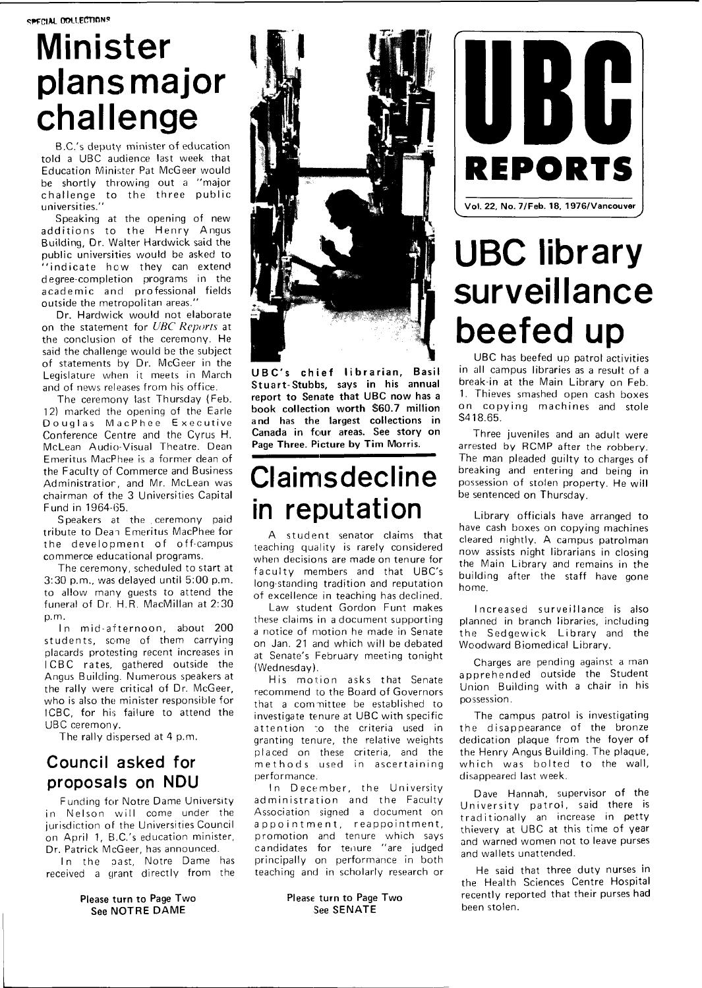# **Minister plans major challenge**

B.C.'s deputy minister of education told a UBC audience last week that Education Minister Pat McGeer would be shortly throwing out a "major challenge to the three public universities."

Speaking at the opening of new additions to the Henry Angus Building, Dr. Walter Hardwick said the public universities would be asked to "indicate how they can extend degree-completion programs in the academic and professional fields outside the metropolitan areas."

Dr. Hardwick would not elaborate on the statement for UBC Reports at the conclusion of the ceremony. He said the challenge would be the subject of statements by Dr. McGeer in the Legislature when it meets in March and of news releases from his office.

The ceremony last Thursday (Feb. 12) marked the opening of the Earle Douglas MacPhee Executive Conference Centre and the Cyrus H. McLean Audio-Visual Theatre. Dean Emeritus MacPhee is a former dean of the Faculty of Commerce and Business Administration, and Mr. McLean was chairman of the 3 Universities Capital Fund in 1964-65.

Speakers at the ceremony paid tribute to Dean Emeritus MacPhee for the development of off-campus commerce educational programs.

The ceremony, scheduled to start at  $3:30$  p.m., was delayed until  $5:00$  p.m. to allow many guests to attend the funeral of Dr. H.R. MacMillan at 2:30 p.m.

In mid-afternoon, about 200 students, some of them carrying placards protesting recent increases in ICBC rates, gathered outside the Angus Building. Numerous speakers at the rally were critical of Dr. McGeer, who is also the minister responsible for ICBC, for his failure to attend the UBC ceremony.

The rally dispersed at 4 p.m.

#### **Council asked for proposals on NDU**

Funding for Notre Dame University in Nelson will come under the jurisdiction of the Universities Council on April 1, B.C.'s education minister, Dr. Patrick McGeer, has announced.

In the past, Notre Dame has received a grant directly from the

#### **Please turn to Page Two See NOTR E DAM E**



**UBC' s chie f librarian , Basil Stuart-Stubbs, says in his annual report to Senate that UBC now has a book collection worth \$60.7 million and has the largest collections in Canada in four areas. See story on Page Three. Picture by Tim Morris.** 

# **Claimsdecline in reputation**

A student senator claims that teaching quality is rarely considered when decisions are made on tenure for faculty members and that UBC's long-standing tradition and reputation of excellence in teaching has declined.

Law student Gordon Funt makes these claims in a document supporting a notice of motion he made in Senate on Jan. 21 and which will be debated at Senate's February meeting tonight (Wednesday).

His motion asks that Senate recommend to the Board of Governors that a committee be established to investigate tenure at UBC with specific attention to the criteria used in granting tenure, the relative weights placed on these criteria, and the methods used in ascertaining performance.

In December, the University administration and the Faculty Association signed a document on appointment, reappointment, promotion and tenure which says candidates for tenure "are judged principally on performance in both teaching and in scholarly research or

#### **Please turn to Page Two See SENATE**



# **UBC library surveillance beefed up**

UBC has beefed up patrol activities in all campus libraries as a result of a break-in at the Main Library on Feb. 1. Thieves smashed open cash boxes on copying machines and stole \$418.65.

Three juveniles and an adult were arrested by RCMP after the robbery. The man pleaded quilty to charges of breaking and entering and being in possession of stolen property. He will be sentenced on Thursday.

Library officials have arranged to have cash boxes on copying machines cleared nightly. A campus patrolman now assists night librarians in closing the Main Library and remains in the building after the staff have gone home.

Increased surveillance is also planned in branch libraries, including the Sedgewick Library and the Woodward Biomedical Library.

Charges are pending against a man apprehended outside the Student Union Building with a chair in his possession.

The campus patrol is investigating the disappearance of the bronze dedication plaque from the foyer of the Henry Angus Building. The plaque, which was bolted to the wall, disappeared last week.

Dave Hannah, supervisor of the University patrol, said there is traditionally an increase in petty thievery at UBC at this time of year and warned women not to leave purses and wallets unattended.

He said that three duty nurses in the Health Sciences Centre Hospital recently reported that their purses had been stolen.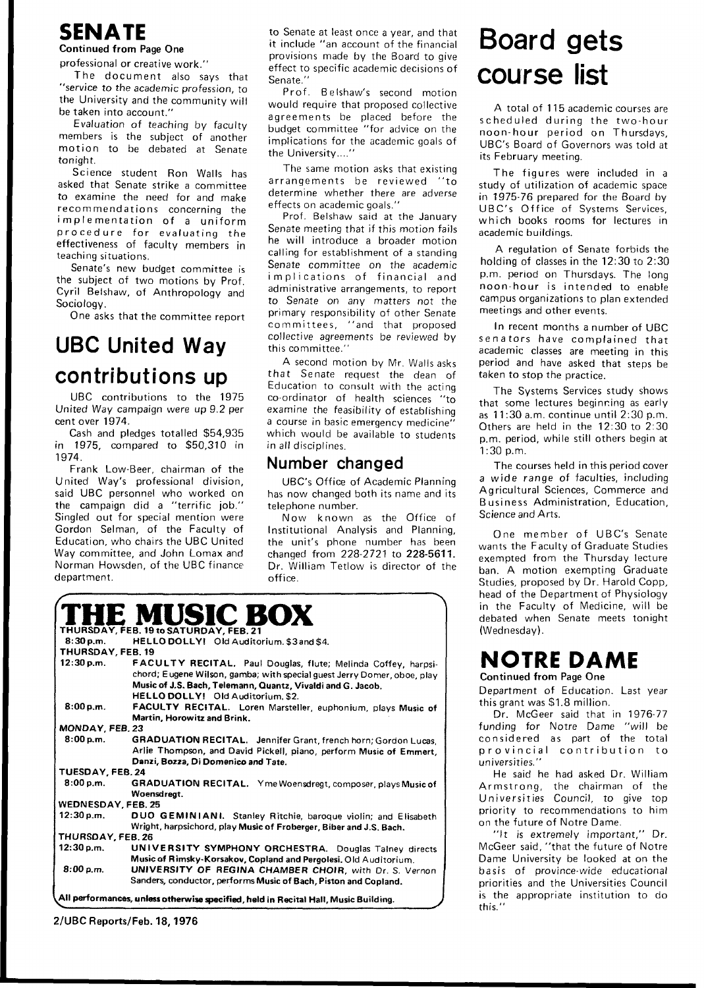# **SENATE**

#### **Continued from Page One**

professional or creative work. "

The document also says that "service to the academic profession, to the University and the community will be taken into account."

Evaluation of teaching by faculty members is the subject of another motion to be debated at Senate tonight.

Science student Ron Walls has asked that Senate strike a committee to examine the need for and make recommendations concerning the implementation of a uniform procedure for evaluating the effectiveness of faculty members in teaching situations.

Senate's new budget committee is the subject of two motions by Prof. Cyril Belshaw, of Anthropology and Sociology.

One asks that the committee report

# **UBC United Way contributions up**

UBC contributions to the 1975 United Way campaign were up 9.2 per cent over 1974.

Cash and pledges totalled \$54,935  $in$  1975, compared to \$50,310 in 1974.

Frank Low-Beer, chairman of the United Way's professional division, said UBC personnel who worked on the campaign did a "terrific job." Singled out for special mention were Gordon Selman, of the Faculty of Education, who chairs the UBC United Way committee, and John Lomax and Norman Howsden, of the UBC finance department.

to Senate at least once a year, and that it include "an account of the financial provisions made by the Board to give effect to specific academic decisions of Senate."

Prof. Belshaw's second motion would require that proposed collective agreements be placed before the budget committee "for advice on the implications for the academic goals of the University....'

The same motion asks that existing arrangements be reviewed "to determine whether there are adverse effects on academic goals."

Prof. Belshaw said at the January Senate meeting that if this motion fails he will introduce a broader motion calling for establishment of a standing Senate committee on the academic implications of financial and administrative arrangements, to report to Senate on any matters not the primary responsibility of other Senate committees, "and that proposed collective agreements be reviewed by this committee."

A second motion by Mr. Walls asks that Senate request the dean of Education to consult with the acting co-ordinator of health sciences "to examine the feasibility of establishing a course in basic emergency medicine" which would be available to students in all disciplines.

#### **Number changed**

UBC's Office of Academic Planning has now changed both its name and its telephone number.

Now known as the Office of Institutional Analysis and Planning, the unit's phone number has been changed from 228-2721 to 228-5611. Dr. William Tetlow is director of the office.

|                                                                                     | <b>THE MUSIC BOX</b>                                                    |
|-------------------------------------------------------------------------------------|-------------------------------------------------------------------------|
| THURSDAY, FEB. 19 to SATURDAY, FEB. 21                                              |                                                                         |
| 8:30 p.m.                                                                           | HELLO DOLLY! Old Auditorium, \$3 and \$4.                               |
| THURSDAY, FEB. 19                                                                   |                                                                         |
| 12:30 p.m.                                                                          | FACULTY RECITAL, Paul Douglas, flute; Melinda Coffey, harpsi-           |
|                                                                                     | chord; Eugene Wilson, gamba; with special guest Jerry Domer, oboe, play |
|                                                                                     | Music of J.S. Bach, Telemann, Quantz, Vivaldi and G. Jacob.             |
|                                                                                     | HELLO DOLLY! Old Auditorium. \$2.                                       |
| 8:00 p.m.                                                                           | FACULTY RECITAL. Loren Marsteller, euphonium, plays Music of            |
|                                                                                     | Martin, Horowitz and Brink.                                             |
| MONDAY, FEB. 23                                                                     |                                                                         |
| 8:00 p.m.                                                                           | GRADUATION RECITAL. Jennifer Grant, french horn; Gordon Lucas,          |
|                                                                                     | Arlie Thompson, and David Pickell, piano, perform Music of Emmert,      |
|                                                                                     | Danzi, Bozza, Di Domenico and Tate.                                     |
| TUESDAY, FEB. 24                                                                    |                                                                         |
| 8:00 p.m.                                                                           | GRADUATION RECITAL. Yme Woensdregt, composer, plays Music of            |
|                                                                                     | Woensdreat.                                                             |
| <b>WEDNESDAY, FEB. 25</b>                                                           |                                                                         |
| 12:30 p.m.                                                                          | DUO GEMINIANI. Stanley Ritchie, baroque violin; and Elisabeth           |
|                                                                                     | Wright, harpsichord, play Music of Froberger, Biber and J.S. Bach.      |
| THURSDAY, FEB. 26                                                                   |                                                                         |
| 12:30 p.m.                                                                          | UNIVERSITY SYMPHONY ORCHESTRA. Douglas Talney directs                   |
|                                                                                     | Music of Rimsky-Korsakov, Copland and Pergolesi, Old Auditorium.        |
| 8:00 p.m.                                                                           | UNIVERSITY OF REGINA CHAMBER CHOIR, with Dr. S. Vernon                  |
|                                                                                     | Sanders, conductor, performs Music of Bach, Piston and Copland.         |
|                                                                                     |                                                                         |
| All performances, unless otherwise specified, held in Recital Hall, Music Building. |                                                                         |

**2/UBC Reports/Feb. 18,197 6** 

# **Board gets course list**

A total of 115 academic courses are scheduled during the two-hour noon-hour period on Thursdays, UBC's Board of Governors was told at its February meeting.

The figures were included in a study of utilization of academic space in 1975-76 prepared for the Board by UBC's Office of Systems Services, which books rooms for lectures in academic buildings.

A regulation of Senate forbids the holding of classes in the 12:30 to 2:30 p.m. period on Thursdays. The long noon-hour is intended to enable campus organizations to plan extended meetings and other events.

In recent months a number of UBC senators have complained that academic classes are meeting in this period and have asked that steps be taken to stop the practice.

The Systems Services study shows that some lectures beginning as early as  $11:30$  a.m. continue until  $2:30$  p.m. Others are held in the 12:30 to 2:30 p.m. period, while still others begin at 1:30 p.m.

The courses held in this period cover a wide range of faculties, including Agricultural Sciences, Commerce and Business Administration, Education, Science and Arts.

One member of UBC's Senate wants the Faculty of Graduate Studies exempted from the Thursday lecture ban. A motion exempting Graduate Studies, proposed by Dr. Harold Copp, head of the Department of Physiology in the Faculty of Medicine, will be debated when Senate meets tonight (Wednesday).

#### **NOTRE DAME Continued from Page One**

Department of Education. Last year this grant was \$1.8 million.

Dr. McGeer said that in 1976-77 funding for Notre Dame "will be considered as part of the total provincial contribution to universities."

He said he had asked Dr. William Armstrong, the chairman of the Universities Council, to give top priority to recommendations to him on the future of Notre Dame.

"It is extremely important," Dr. McGeer said, "that the future of Notre Dame University be looked at on the basis of province-wide educational priorities and the Universities Council is the appropriate institution to do this."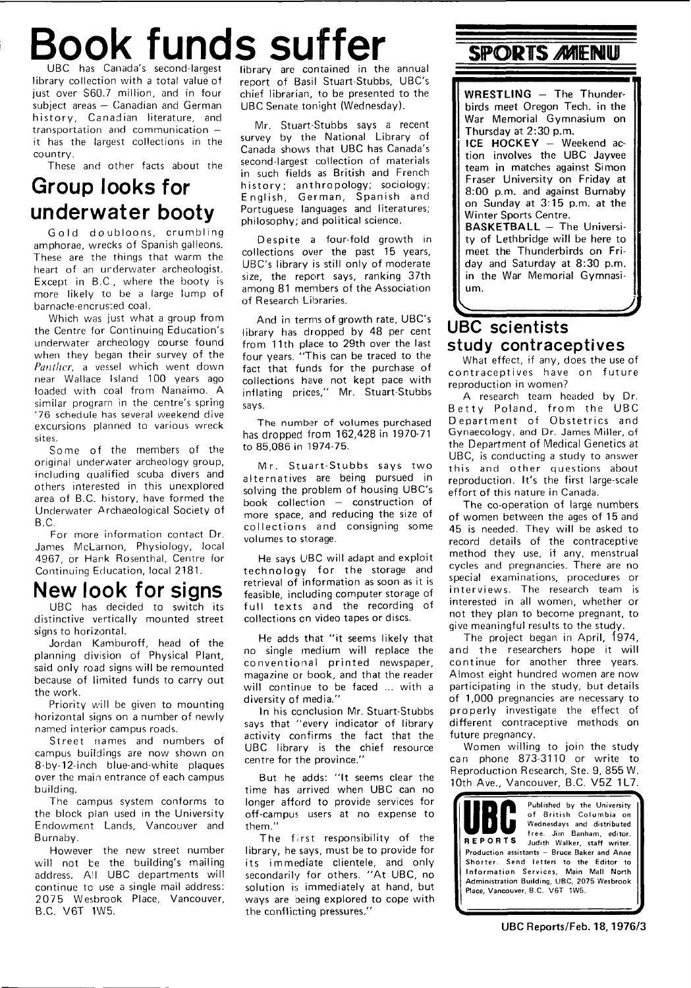# **Book funds suffer SPORTS AMENU** UBC has Canada's second-largest

library collection with a total value of just over \$60.7 million, and in four subject areas — Canadian and German history, Canadian literature, and transportation and communication it has the largest collections in the country.

These and other facts about the

## **Group looks for underwater booty**

Gold doubloons, crumbling amphorae, wrecks of Spanish galleons. These are the things that warm the heart of an urderwater archeologist. Except in B.C., where the booty is more likely to be a large lump of bamacle-encrus;ed coal.

Which was just what a group from the Centre for Continuing Education's underwater archeology course found when they began their survey of the Panther, a vessel which went down near Wallace Island 100 years ago loaded with coal from Nanaimo. A similar program in the centre's spring '76 schedule has several weekend dive excursions planned to various wreck sites.

Some of the members of the original underwater archeology group, including qualified scuba divers and others interested in this unexplored area of B.C. history, have formed the Underwater Archaeological Society of B.C.

For more information contact Dr. James McLarnon, Physiology, local 4967, or Hank Rosenthal, Centre for Continuing Education, local 2181.

## **New look for signs**

UBC has decided to switch its distinctive vertically mounted street signs to horizontal.

Jordan Kamburoff, head of the planning division of Physical Plant, said only road signs will be remounted because of limited funds to carry out the work.

Priority will be given to mounting horizontal signs on a number of newly named interior campus roads.

Street names and numbers of campus buildings are now shown on 8-by-12-inch blue-and-white plaques over the main entrance of each campus building.

The campus system conforms to the block plan used in the University Endowment Lands, Vancouver and Burnaby.

However the new street number will not be the building's mailing address. All UBC departments will continue to use a single mail address: 2 07 5 Wesbrook Place, Vancouver, B.C. V6T 1W5.

library are contained in the annual report of Basil Stuart-Stubbs, UBC's chief librarian, to be presented to the UBC Senate tonight (Wednesday).

Mr. Stuart-Stubbs says a recent survey by the National Library of Canada shows that UBC has Canada's second-largest collection of materials in such fields as British and French history; anthropology; sociology; English, German, Spanish and Portuguese languages and literatures; philosophy; and political science.

Despite a four-fold growth in collections over the past 15 years, UBC's library is still only of moderate size, the report says, ranking 37th among 81 members of the Association of Research Libraries.

And in terms of growth rate, UBC's library has dropped by 48 per cent from 11th place to 29th over the last four years. "This can be traced to the fact that funds for the purchase of collections have not kept pace with inflating prices," Mr. Stuart-Stubbs says.

The number of volumes purchased has dropped from 162,428 in 1970-71 to 85,086 in 1974-75.

Mr. Stuart-Stubbs says two alternatives are being pursued in solving the problem of housing UBC's book collection — construction of more space, and reducing the size of collections and consigning some volumes to storage.

He says UBC will adapt and exploit technology for the storage and retrieval of information as soon as it is feasible, including computer storage of full texts and the recording of collections on video tapes or discs.

He adds that "it seems likely that no single medium will replace the conventional printed newspaper, magazine or book, and that the reader will continue to be faced ... with a diversity of media."

In his conclusion Mr. Stuart-Stubbs says that "every indicator of library activity confirms the fact that the UBC library is the chief resource centre for the province."

But he adds: "It seems clear the time has arrived when UBC can no longer afford to provide services for off-campus users at no expense to them."

The first responsibility of the library, he says, must be to provide for its immediate clientele, and only secondarily for others. "At UBC, no solution is immediately at hand, but ways are being explored to cope with the conflicting pressures."

**WRESTLING** - The Thunderbirds meet Oregon Tech. in the War Memorial Gymnasium on Thursday at 2:30 p.m.

**ICE HOCKEY** - Weekend action involves the UBC Jayvee team in matches against Simon Fraser University on Friday at 8:00 p.m. and against Burnaby on Sunday at 3:15 p.m. at the Winter Sports Centre.

**BASKETBALL** - The University of Lethbridge will be here to meet the Thunderbirds on Friday and Saturday at 8:30 p.m. in the War Memorial Gymnasium.

### **J. UBC scientists study contraceptives**

What effect, if any, does the use of contraceptives have on future reproduction in women?

A research team headed by Dr. Betty Poland, from the UBC Department of Obstetrics and Gynaecology, and Dr. James Miller, of the Department of Medical Genetics at UBC, is conducting a study to answer this and other questions about reproduction. It's the first large-scale effort of this nature in Canada.

The co-operation of large numbers of women between the ages of 15 and 45 is needed. They will be asked to record details of the contraceptive method they use, if any, menstrual cycles and pregnancies. There are no special examinations, procedures or interviews. The research team is interested in all women, whether or not they plan to become pregnant, to give meaningful results to the study.

The project began in April, 1974, and the researchers hope it will continue for another three years. Almost eight hundred women are now participating in the study, but details of 1,000 pregnancies are necessary to properly investigate the effect of different contraceptive methods on future pregnancy.

Women willing to join the study can phone 873-3110 or write to Reproduction Research, Ste. 9, 855 W. 10th Ave., Vancouver, B.C. V5Z 1L7.